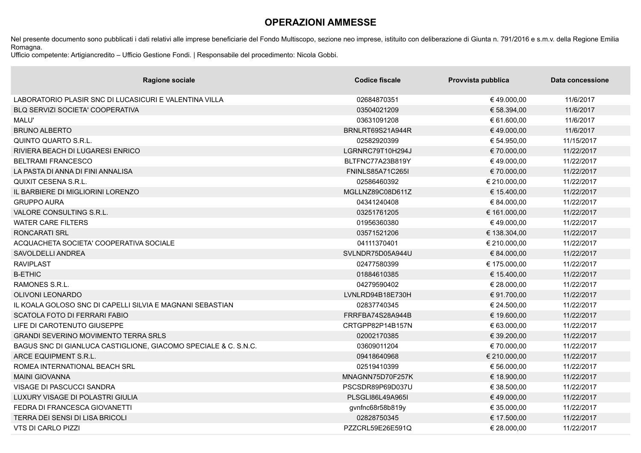## **OPERAZIONI AMMESSE**

Nel presente documento sono pubblicati i dati relativi alle imprese beneficiarie del Fondo Multiscopo, sezione neo imprese, istituito con deliberazione di Giunta n. 791/2016 e s.m.v. della Regione Emilia Romagna.

Ufficio competente: Artigiancredito – Ufficio Gestione Fondi. | Responsabile del procedimento: Nicola Gobbi.

| <b>Ragione sociale</b>                                          | <b>Codice fiscale</b>   | Provvista pubblica | Data concessione |
|-----------------------------------------------------------------|-------------------------|--------------------|------------------|
| LABORATORIO PLASIR SNC DI LUCASICURI E VALENTINA VILLA          | 02684870351             | €49.000,00         | 11/6/2017        |
| <b>BLQ SERVIZI SOCIETA' COOPERATIVA</b>                         | 03504021209             | € 58.394,00        | 11/6/2017        |
| <b>MALU'</b>                                                    | 03631091208             | € 61.600,00        | 11/6/2017        |
| <b>BRUNO ALBERTO</b>                                            | BRNLRT69S21A944R        | €49.000,00         | 11/6/2017        |
| <b>QUINTO QUARTO S.R.L.</b>                                     | 02582920399             | € 54.950,00        | 11/15/2017       |
| RIVIERA BEACH DI LUGARESI ENRICO                                | LGRNRC79T10H294J        | € 70.000,00        | 11/22/2017       |
| <b>BELTRAMI FRANCESCO</b>                                       | BLTFNC77A23B819Y        | €49.000,00         | 11/22/2017       |
| LA PASTA DI ANNA DI FINI ANNALISA                               | <b>FNINLS85A71C265I</b> | € 70.000,00        | 11/22/2017       |
| <b>QUIXIT CESENA S.R.L.</b>                                     | 02586460392             | € 210.000,00       | 11/22/2017       |
| IL BARBIERE DI MIGLIORINI LORENZO                               | MGLLNZ89C08D611Z        | € 15.400,00        | 11/22/2017       |
| <b>GRUPPO AURA</b>                                              | 04341240408             | € 84.000,00        | 11/22/2017       |
| VALORE CONSULTING S.R.L.                                        | 03251761205             | € 161.000,00       | 11/22/2017       |
| <b>WATER CARE FILTERS</b>                                       | 01956360380             | €49.000,00         | 11/22/2017       |
| <b>RONCARATI SRL</b>                                            | 03571521206             | € 138.304,00       | 11/22/2017       |
| ACQUACHETA SOCIETA' COOPERATIVA SOCIALE                         | 04111370401             | € 210.000,00       | 11/22/2017       |
| SAVOLDELLI ANDREA                                               | SVLNDR75D05A944U        | € 84.000,00        | 11/22/2017       |
| <b>RAVIPLAST</b>                                                | 02477580399             | € 175.000,00       | 11/22/2017       |
| <b>B-ETHIC</b>                                                  | 01884610385             | € 15.400,00        | 11/22/2017       |
| RAMONES S.R.L.                                                  | 04279590402             | € 28.000,00        | 11/22/2017       |
| <b>OLIVONI LEONARDO</b>                                         | LVNLRD94B18E730H        | € 91.700,00        | 11/22/2017       |
| IL KOALA GOLOSO SNC DI CAPELLI SILVIA E MAGNANI SEBASTIAN       | 02837740345             | € 24.500,00        | 11/22/2017       |
| SCATOLA FOTO DI FERRARI FABIO                                   | FRRFBA74S28A944B        | € 19.600,00        | 11/22/2017       |
| LIFE DI CAROTENUTO GIUSEPPE                                     | CRTGPP82P14B157N        | € 63.000,00        | 11/22/2017       |
| <b>GRANDI SEVERINO MOVIMENTO TERRA SRLS</b>                     | 02002170385             | € 39.200,00        | 11/22/2017       |
| BAGUS SNC DI GIANLUCA CASTIGLIONE, GIACOMO SPECIALE & C. S.N.C. | 03609011204             | € 70.000,00        | 11/22/2017       |
| ARCE EQUIPMENT S.R.L.                                           | 09418640968             | € 210.000,00       | 11/22/2017       |
| ROMEA INTERNATIONAL BEACH SRL                                   | 02519410399             | € 56.000,00        | 11/22/2017       |
| <b>MAINI GIOVANNA</b>                                           | MNAGNN75D70F257K        | € 18.900,00        | 11/22/2017       |
| VISAGE DI PASCUCCI SANDRA                                       | PSCSDR89P69D037U        | € 38.500,00        | 11/22/2017       |
| LUXURY VISAGE DI POLASTRI GIULIA                                | PLSGLI86L49A965I        | €49.000,00         | 11/22/2017       |
| FEDRA DI FRANCESCA GIOVANETTI                                   | gvnfnc68r58b819y        | € 35.000,00        | 11/22/2017       |
| TERRA DEI SENSI DI LISA BRICOLI                                 | 02828750345             | € 17.500,00        | 11/22/2017       |
| <b>VTS DI CARLO PIZZI</b>                                       | PZZCRL59E26E591Q        | € 28.000,00        | 11/22/2017       |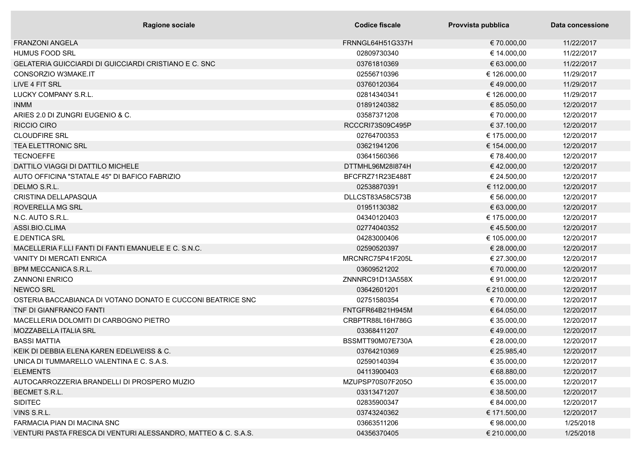| <b>Ragione sociale</b>                                         | Codice fiscale   | Provvista pubblica | Data concessione |
|----------------------------------------------------------------|------------------|--------------------|------------------|
| <b>FRANZONI ANGELA</b>                                         | FRNNGL64H51G337H | € 70.000,00        | 11/22/2017       |
| <b>HUMUS FOOD SRL</b>                                          | 02809730340      | € 14.000,00        | 11/22/2017       |
| <b>GELATERIA GUICCIARDI DI GUICCIARDI CRISTIANO E C. SNC</b>   | 03761810369      | € 63.000,00        | 11/22/2017       |
| CONSORZIO W3MAKE.IT                                            | 02556710396      | € 126.000,00       | 11/29/2017       |
| LIVE 4 FIT SRL                                                 | 03760120364      | €49.000,00         | 11/29/2017       |
| LUCKY COMPANY S.R.L.                                           | 02814340341      | € 126.000,00       | 11/29/2017       |
| <b>INMM</b>                                                    | 01891240382      | € 85.050,00        | 12/20/2017       |
| ARIES 2.0 DI ZUNGRI EUGENIO & C.                               | 03587371208      | € 70.000,00        | 12/20/2017       |
| <b>RICCIO CIRO</b>                                             | RCCCRI73S09C495P | € 37.100,00        | 12/20/2017       |
| <b>CLOUDFIRE SRL</b>                                           | 02764700353      | € 175.000,00       | 12/20/2017       |
| <b>TEA ELETTRONIC SRL</b>                                      | 03621941206      | € 154.000,00       | 12/20/2017       |
| <b>TECNOEFFE</b>                                               | 03641560366      | € 78.400,00        | 12/20/2017       |
| DATTILO VIAGGI DI DATTILO MICHELE                              | DTTMHL96M28I874H | €42.000,00         | 12/20/2017       |
| AUTO OFFICINA "STATALE 45" DI BAFICO FABRIZIO                  | BFCFRZ71R23E488T | € 24.500,00        | 12/20/2017       |
| DELMO S.R.L.                                                   | 02538870391      | € 112.000,00       | 12/20/2017       |
| CRISTINA DELLAPASQUA                                           | DLLCST83A58C573B | € 56.000,00        | 12/20/2017       |
| ROVERELLA MG SRL                                               | 01951130382      | € 63.000,00        | 12/20/2017       |
| N.C. AUTO S.R.L.                                               | 04340120403      | € 175.000,00       | 12/20/2017       |
| ASSI.BIO.CLIMA                                                 | 02774040352      | €45.500,00         | 12/20/2017       |
| <b>E.DENTICA SRL</b>                                           | 04283000406      | € 105.000,00       | 12/20/2017       |
| MACELLERIA F.LLI FANTI DI FANTI EMANUELE E C. S.N.C.           | 02590520397      | € 28.000,00        | 12/20/2017       |
| <b>VANITY DI MERCATI ENRICA</b>                                | MRCNRC75P41F205L | € 27.300,00        | 12/20/2017       |
| <b>BPM MECCANICA S.R.L.</b>                                    | 03609521202      | € 70.000,00        | 12/20/2017       |
| <b>ZANNONI ENRICO</b>                                          | ZNNNRC91D13A558X | € 91.000,00        | 12/20/2017       |
| <b>NEWCO SRL</b>                                               | 03642601201      | € 210.000,00       | 12/20/2017       |
| OSTERIA BACCABIANCA DI VOTANO DONATO E CUCCONI BEATRICE SNC    | 02751580354      | € 70.000,00        | 12/20/2017       |
| TNF DI GIANFRANCO FANTI                                        | FNTGFR64B21H945M | € 64.050,00        | 12/20/2017       |
| MACELLERIA DOLOMITI DI CARBOGNO PIETRO                         | CRBPTR88L16H786G | € 35.000,00        | 12/20/2017       |
| MOZZABELLA ITALIA SRL                                          | 03368411207      | €49.000,00         | 12/20/2017       |
| <b>BASSI MATTIA</b>                                            | BSSMTT90M07E730A | € 28.000,00        | 12/20/2017       |
| KEIK DI DEBBIA ELENA KAREN EDELWEISS & C.                      | 03764210369      | € 25.985,40        | 12/20/2017       |
| UNICA DI TUMMARELLO VALENTINA E C. S.A.S.                      | 02590140394      | € 35.000,00        | 12/20/2017       |
| <b>ELEMENTS</b>                                                | 04113900403      | € 68.880,00        | 12/20/2017       |
| AUTOCARROZZERIA BRANDELLI DI PROSPERO MUZIO                    | MZUPSP70S07F205O | € 35.000,00        | 12/20/2017       |
| BECMET S.R.L.                                                  | 03313471207      | € 38.500,00        | 12/20/2017       |
| <b>SIDITEC</b>                                                 | 02835900347      | € 84.000,00        | 12/20/2017       |
| VINS S.R.L.                                                    | 03743240362      | € 171.500,00       | 12/20/2017       |
| FARMACIA PIAN DI MACINA SNC                                    | 03663511206      | € 98.000,00        | 1/25/2018        |
| VENTURI PASTA FRESCA DI VENTURI ALESSANDRO, MATTEO & C. S.A.S. | 04356370405      | € 210.000,00       | 1/25/2018        |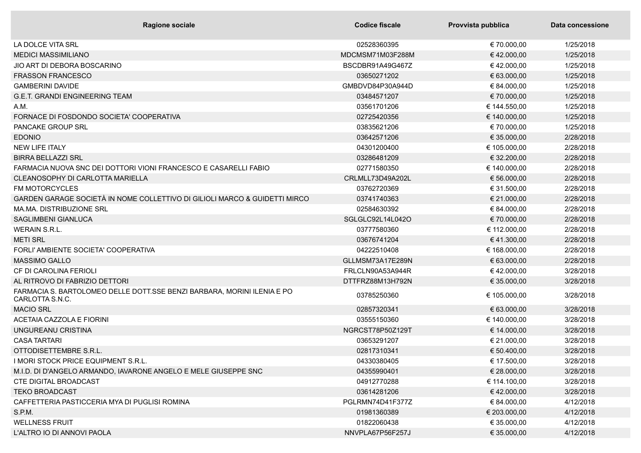| <b>Ragione sociale</b>                                                                     | Codice fiscale   | Provvista pubblica | Data concessione |
|--------------------------------------------------------------------------------------------|------------------|--------------------|------------------|
| LA DOLCE VITA SRL                                                                          | 02528360395      | € 70.000,00        | 1/25/2018        |
| <b>MEDICI MASSIMILIANO</b>                                                                 | MDCMSM71M03F288M | €42.000,00         | 1/25/2018        |
| JIO ART DI DEBORA BOSCARINO                                                                | BSCDBR91A49G467Z | €42.000,00         | 1/25/2018        |
| <b>FRASSON FRANCESCO</b>                                                                   | 03650271202      | € 63.000,00        | 1/25/2018        |
| <b>GAMBERINI DAVIDE</b>                                                                    | GMBDVD84P30A944D | € 84.000,00        | 1/25/2018        |
| <b>G.E.T. GRANDI ENGINEERING TEAM</b>                                                      | 03484571207      | € 70.000,00        | 1/25/2018        |
| A.M.                                                                                       | 03561701206      | € 144.550,00       | 1/25/2018        |
| FORNACE DI FOSDONDO SOCIETA' COOPERATIVA                                                   | 02725420356      | € 140.000,00       | 1/25/2018        |
| <b>PANCAKE GROUP SRL</b>                                                                   | 03835621206      | € 70.000,00        | 1/25/2018        |
| <b>EDONIO</b>                                                                              | 03642571206      | € 35.000,00        | 2/28/2018        |
| <b>NEW LIFE ITALY</b>                                                                      | 04301200400      | € 105.000,00       | 2/28/2018        |
| <b>BIRRA BELLAZZI SRL</b>                                                                  | 03286481209      | € 32.200,00        | 2/28/2018        |
| FARMACIA NUOVA SNC DEI DOTTORI VIONI FRANCESCO E CASARELLI FABIO                           | 02771580350      | € 140.000,00       | 2/28/2018        |
| CLEANOSOPHY DI CARLOTTA MARIELLA                                                           | CRLMLL73D49A202L | € 56.000,00        | 2/28/2018        |
| <b>FM MOTORCYCLES</b>                                                                      | 03762720369      | € 31.500,00        | 2/28/2018        |
| GARDEN GARAGE SOCIETÀ IN NOME COLLETTIVO DI GILIOLI MARCO & GUIDETTI MIRCO                 | 03741740363      | € 21.000,00        | 2/28/2018        |
| MA, MA, DISTRIBUZIONE SRL                                                                  | 02584630392      | € 84.000,00        | 2/28/2018        |
| <b>SAGLIMBENI GIANLUCA</b>                                                                 | SGLGLC92L14L042O | € 70.000,00        | 2/28/2018        |
| <b>WERAIN S.R.L.</b>                                                                       | 03777580360      | € 112.000,00       | 2/28/2018        |
| <b>METI SRL</b>                                                                            | 03676741204      | € 41.300,00        | 2/28/2018        |
| FORLI' AMBIENTE SOCIETA' COOPERATIVA                                                       | 04222510408      | € 168.000,00       | 2/28/2018        |
| <b>MASSIMO GALLO</b>                                                                       | GLLMSM73A17E289N | € 63.000,00        | 2/28/2018        |
| CF DI CAROLINA FERIOLI                                                                     | FRLCLN90A53A944R | €42.000,00         | 3/28/2018        |
| AL RITROVO DI FABRIZIO DETTORI                                                             | DTTFRZ88M13H792N | € 35.000,00        | 3/28/2018        |
| FARMACIA S. BARTOLOMEO DELLE DOTT.SSE BENZI BARBARA, MORINI ILENIA E PO<br>CARLOTTA S.N.C. | 03785250360      | € 105.000,00       | 3/28/2018        |
| <b>MACIO SRL</b>                                                                           | 02857320341      | € 63.000,00        | 3/28/2018        |
| ACETAIA CAZZOLA E FIORINI                                                                  | 03555150360      | € 140.000,00       | 3/28/2018        |
| UNGUREANU CRISTINA                                                                         | NGRCST78P50Z129T | € 14.000,00        | 3/28/2018        |
| <b>CASA TARTARI</b>                                                                        | 03653291207      | € 21.000,00        | 3/28/2018        |
| OTTODISETTEMBRE S.R.L.                                                                     | 02817310341      | € 50.400,00        | 3/28/2018        |
| I MORI STOCK PRICE EQUIPMENT S.R.L.                                                        | 04330380405      | € 17.500,00        | 3/28/2018        |
| M.I.D. DI D'ANGELO ARMANDO, IAVARONE ANGELO E MELE GIUSEPPE SNC                            | 04355990401      | € 28.000,00        | 3/28/2018        |
| <b>CTE DIGITAL BROADCAST</b>                                                               | 04912770288      | € 114.100,00       | 3/28/2018        |
| <b>TEKO BROADCAST</b>                                                                      | 03614281206      | €42.000,00         | 3/28/2018        |
| CAFFETTERIA PASTICCERIA MYA DI PUGLISI ROMINA                                              | PGLRMN74D41F377Z | € 84.000,00        | 4/12/2018        |
| S.P.M.                                                                                     | 01981360389      | € 203.000,00       | 4/12/2018        |
| <b>WELLNESS FRUIT</b>                                                                      | 01822060438      | € 35.000,00        | 4/12/2018        |
| L'ALTRO IO DI ANNOVI PAOLA                                                                 | NNVPLA67P56F257J | € 35.000,00        | 4/12/2018        |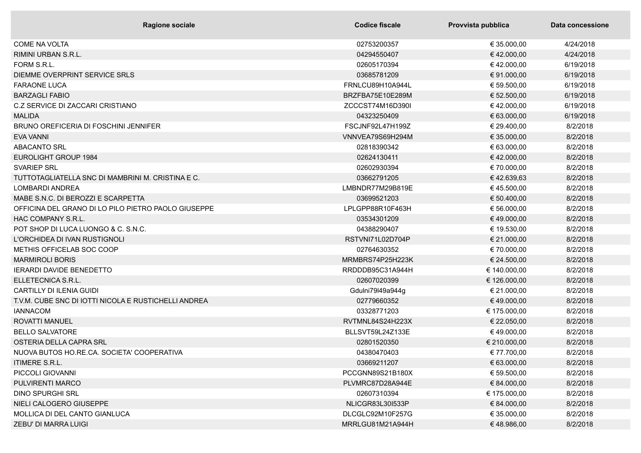| <b>Ragione sociale</b>                               | <b>Codice fiscale</b> | Provvista pubblica | Data concessione |
|------------------------------------------------------|-----------------------|--------------------|------------------|
| <b>COME NA VOLTA</b>                                 | 02753200357           | € 35.000,00        | 4/24/2018        |
| RIMINI URBAN S.R.L.                                  | 04294550407           | €42.000,00         | 4/24/2018        |
| FORM S.R.L.                                          | 02605170394           | €42.000,00         | 6/19/2018        |
| DIEMME OVERPRINT SERVICE SRLS                        | 03685781209           | € 91.000,00        | 6/19/2018        |
| <b>FARAONE LUCA</b>                                  | FRNLCU89H10A944L      | € 59.500,00        | 6/19/2018        |
| <b>BARZAGLI FABIO</b>                                | BRZFBA75E10E289M      | € 52.500,00        | 6/19/2018        |
| C.Z SERVICE DI ZACCARI CRISTIANO                     | ZCCCST74M16D390I      | €42.000,00         | 6/19/2018        |
| <b>MALIDA</b>                                        | 04323250409           | € 63.000,00        | 6/19/2018        |
| <b>BRUNO OREFICERIA DI FOSCHINI JENNIFER</b>         | FSCJNF92L47H199Z      | € 29.400,00        | 8/2/2018         |
| <b>EVA VANNI</b>                                     | VNNVEA79S69H294M      | € 35.000,00        | 8/2/2018         |
| <b>ABACANTO SRL</b>                                  | 02818390342           | € 63.000,00        | 8/2/2018         |
| EUROLIGHT GROUP 1984                                 | 02624130411           | €42.000,00         | 8/2/2018         |
| <b>SVARIEP SRL</b>                                   | 02602930394           | € 70.000,00        | 8/2/2018         |
| TUTTOTAGLIATELLA SNC DI MAMBRINI M. CRISTINA E C.    | 03662791205           | €42.639,63         | 8/2/2018         |
| <b>LOMBARDI ANDREA</b>                               | LMBNDR77M29B819E      | €45.500,00         | 8/2/2018         |
| MABE S.N.C. DI BEROZZI E SCARPETTA                   | 03699521203           | € 50.400,00        | 8/2/2018         |
| OFFICINA DEL GRANO DI LO PILO PIETRO PAOLO GIUSEPPE  | LPLGPP88R10F463H      | € 56.000,00        | 8/2/2018         |
| HAC COMPANY S.R.L.                                   | 03534301209           | € 49.000,00        | 8/2/2018         |
| POT SHOP DI LUCA LUONGO & C. S.N.C.                  | 04388290407           | € 19.530,00        | 8/2/2018         |
| L'ORCHIDEA DI IVAN RUSTIGNOLI                        | RSTVNI71L02D704P      | € 21.000,00        | 8/2/2018         |
| METHIS OFFICELAB SOC COOP                            | 02764630352           | € 70.000,00        | 8/2/2018         |
| <b>MARMIROLI BORIS</b>                               | MRMBRS74P25H223K      | € 24.500,00        | 8/2/2018         |
| <b>IERARDI DAVIDE BENEDETTO</b>                      | RRDDDB95C31A944H      | € 140.000,00       | 8/2/2018         |
| ELLETECNICA S.R.L.                                   | 02607020399           | € 126.000,00       | 8/2/2018         |
| <b>CARTILLY DI ILENIA GUIDI</b>                      | Gdulni79l49a944g      | € 21.000,00        | 8/2/2018         |
| T.V.M. CUBE SNC DI IOTTI NICOLA E RUSTICHELLI ANDREA | 02779660352           | € 49.000,00        | 8/2/2018         |
| <b>IANNACOM</b>                                      | 03328771203           | € 175.000,00       | 8/2/2018         |
| ROVATTI MANUEL                                       | RVTMNL84S24H223X      | € 22.050,00        | 8/2/2018         |
| <b>BELLO SALVATORE</b>                               | BLLSVT59L24Z133E      | €49.000,00         | 8/2/2018         |
| OSTERIA DELLA CAPRA SRL                              | 02801520350           | € 210.000,00       | 8/2/2018         |
| NUOVA BUTOS HO.RE.CA. SOCIETA' COOPERATIVA           | 04380470403           | € 77.700,00        | 8/2/2018         |
| <b>ITIMERE S.R.L.</b>                                | 03669211207           | € 63.000,00        | 8/2/2018         |
| PICCOLI GIOVANNI                                     | PCCGNN89S21B180X      | € 59.500,00        | 8/2/2018         |
| PULVIRENTI MARCO                                     | PLVMRC87D28A944E      | € 84.000,00        | 8/2/2018         |
| <b>DINO SPURGHI SRL</b>                              | 02607310394           | € 175.000,00       | 8/2/2018         |
| NIELI CALOGERO GIUSEPPE                              | NLICGR83L30I533P      | € 84.000,00        | 8/2/2018         |
| MOLLICA DI DEL CANTO GIANLUCA                        | DLCGLC92M10F257G      | € 35.000,00        | 8/2/2018         |
| ZEBU' DI MARRA LUIGI                                 | MRRLGU81M21A944H      | €48.986,00         | 8/2/2018         |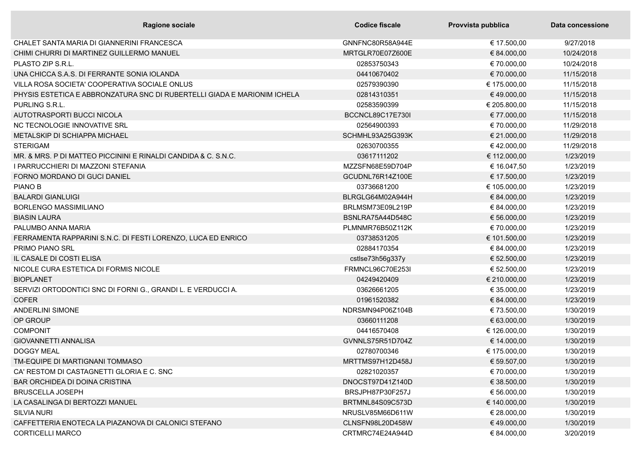| <b>Ragione sociale</b>                                                   | Codice fiscale          | Provvista pubblica | Data concessione |
|--------------------------------------------------------------------------|-------------------------|--------------------|------------------|
| CHALET SANTA MARIA DI GIANNERINI FRANCESCA                               | GNNFNC80R58A944E        | € 17.500,00        | 9/27/2018        |
| CHIMI CHURRI DI MARTINEZ GUILLERMO MANUEL                                | MRTGLR70E07Z600E        | € 84.000,00        | 10/24/2018       |
| PLASTO ZIP S.R.L.                                                        | 02853750343             | € 70.000,00        | 10/24/2018       |
| UNA CHICCA S.A.S. DI FERRANTE SONIA IOLANDA                              | 04410670402             | € 70.000,00        | 11/15/2018       |
| VILLA ROSA SOCIETA' COOPERATIVA SOCIALE ONLUS                            | 02579390390             | € 175.000,00       | 11/15/2018       |
| PHYSIS ESTETICA E ABBRONZATURA SNC DI RUBERTELLI GIADA E MARIONIM ICHELA | 02814310351             | €49.000,00         | 11/15/2018       |
| PURLING S.R.L.                                                           | 02583590399             | € 205.800,00       | 11/15/2018       |
| AUTOTRASPORTI BUCCI NICOLA                                               | BCCNCL89C17E730I        | € 77.000,00        | 11/15/2018       |
| NC TECNOLOGIE INNOVATIVE SRL                                             | 02564900393             | € 70.000,00        | 11/29/2018       |
| METALSKIP DI SCHIAPPA MICHAEL                                            | SCHMHL93A25G393K        | € 21.000,00        | 11/29/2018       |
| <b>STERIGAM</b>                                                          | 02630700355             | €42.000,00         | 11/29/2018       |
| MR. & MRS. P DI MATTEO PICCININI E RINALDI CANDIDA & C. S.N.C.           | 03617111202             | € 112.000,00       | 1/23/2019        |
| I PARRUCCHIERI DI MAZZONI STEFANIA                                       | MZZSFN68E59D704P        | € 16.047,50        | 1/23/2019        |
| FORNO MORDANO DI GUCI DANIEL                                             | GCUDNL76R14Z100E        | € 17.500,00        | 1/23/2019        |
| <b>PIANO B</b>                                                           | 03736681200             | € 105.000,00       | 1/23/2019        |
| <b>BALARDI GIANLUIGI</b>                                                 | BLRGLG64M02A944H        | € 84.000,00        | 1/23/2019        |
| <b>BORLENGO MASSIMILIANO</b>                                             | BRLMSM73E09L219P        | € 84.000,00        | 1/23/2019        |
| <b>BIASIN LAURA</b>                                                      | BSNLRA75A44D548C        | € 56.000,00        | 1/23/2019        |
| PALUMBO ANNA MARIA                                                       | PLMNMR76B50Z112K        | € 70.000,00        | 1/23/2019        |
| FERRAMENTA RAPPARINI S.N.C. DI FESTI LORENZO, LUCA ED ENRICO             | 03738531205             | € 101.500,00       | 1/23/2019        |
| <b>PRIMO PIANO SRL</b>                                                   | 02884170354             | € 84.000,00        | 1/23/2019        |
| IL CASALE DI COSTI ELISA                                                 | cstlse73h56g337y        | € 52.500,00        | 1/23/2019        |
| NICOLE CURA ESTETICA DI FORMIS NICOLE                                    | <b>FRMNCL96C70E253I</b> | € 52.500,00        | 1/23/2019        |
| <b>BIOPLANET</b>                                                         | 04249420409             | € 210.000,00       | 1/23/2019        |
| SERVIZI ORTODONTICI SNC DI FORNI G., GRANDI L. E VERDUCCI A.             | 03626661205             | € 35.000,00        | 1/23/2019        |
| <b>COFER</b>                                                             | 01961520382             | € 84.000,00        | 1/23/2019        |
| ANDERLINI SIMONE                                                         | NDRSMN94P06Z104B        | € 73.500,00        | 1/30/2019        |
| OP GROUP                                                                 | 03660111208             | € 63.000,00        | 1/30/2019        |
| <b>COMPONIT</b>                                                          | 04416570408             | € 126.000,00       | 1/30/2019        |
| <b>GIOVANNETTI ANNALISA</b>                                              | GVNNLS75R51D704Z        | € 14.000,00        | 1/30/2019        |
| <b>DOGGY MEAL</b>                                                        | 02780700346             | € 175.000,00       | 1/30/2019        |
| TM-EQUIPE DI MARTIGNANI TOMMASO                                          | MRTTMS97H12D458J        | € 59.507,00        | 1/30/2019        |
| CA' RESTOM DI CASTAGNETTI GLORIA E C. SNC                                | 02821020357             | € 70.000,00        | 1/30/2019        |
| BAR ORCHIDEA DI DOINA CRISTINA                                           | DNOCST97D41Z140D        | € 38.500,00        | 1/30/2019        |
| <b>BRUSCELLA JOSEPH</b>                                                  | BRSJPH87P30F257J        | € 56.000,00        | 1/30/2019        |
| LA CASALINGA DI BERTOZZI MANUEL                                          | BRTMNL84S09C573D        | € 140.000,00       | 1/30/2019        |
| <b>SILVIA NURI</b>                                                       | NRUSLV85M66D611W        | € 28.000,00        | 1/30/2019        |
| CAFFETTERIA ENOTECA LA PIAZANOVA DI CALONICI STEFANO                     | CLNSFN98L20D458W        | €49.000,00         | 1/30/2019        |
| <b>CORTICELLI MARCO</b>                                                  | CRTMRC74E24A944D        | € 84.000,00        | 3/20/2019        |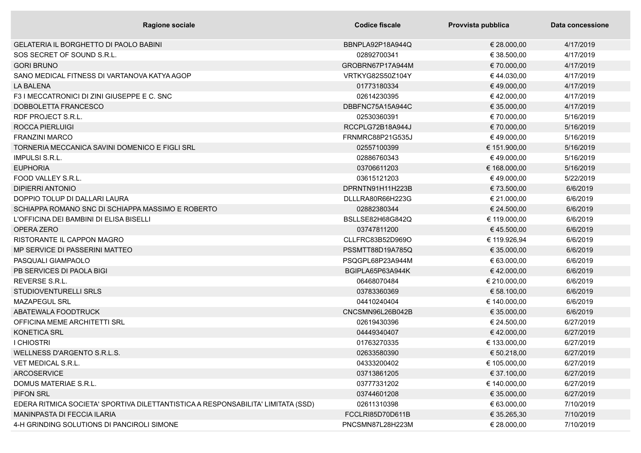| <b>Ragione sociale</b>                                                           | <b>Codice fiscale</b> | Provvista pubblica | Data concessione |
|----------------------------------------------------------------------------------|-----------------------|--------------------|------------------|
| <b>GELATERIA IL BORGHETTO DI PAOLO BABINI</b>                                    | BBNPLA92P18A944Q      | € 28.000,00        | 4/17/2019        |
| SOS SECRET OF SOUND S.R.L.                                                       | 02892700341           | € 38.500,00        | 4/17/2019        |
| <b>GORI BRUNO</b>                                                                | GROBRN67P17A944M      | € 70.000,00        | 4/17/2019        |
| SANO MEDICAL FITNESS DI VARTANOVA KATYA AGOP                                     | VRTKYG82S50Z104Y      | €44.030,00         | 4/17/2019        |
| <b>LA BALENA</b>                                                                 | 01773180334           | €49.000,00         | 4/17/2019        |
| F3 I MECCATRONICI DI ZINI GIUSEPPE E C. SNC                                      | 02614230395           | €42.000,00         | 4/17/2019        |
| DOBBOLETTA FRANCESCO                                                             | DBBFNC75A15A944C      | € 35.000,00        | 4/17/2019        |
| RDF PROJECT S.R.L.                                                               | 02530360391           | € 70.000,00        | 5/16/2019        |
| <b>ROCCA PIERLUIGI</b>                                                           | RCCPLG72B18A944J      | € 70.000,00        | 5/16/2019        |
| <b>FRANZINI MARCO</b>                                                            | FRNMRC88P21G535J      | €49.000,00         | 5/16/2019        |
| TORNERIA MECCANICA SAVINI DOMENICO E FIGLI SRL                                   | 02557100399           | € 151.900,00       | 5/16/2019        |
| <b>IMPULSI S.R.L.</b>                                                            | 02886760343           | €49.000,00         | 5/16/2019        |
| <b>EUPHORIA</b>                                                                  | 03706611203           | € 168.000,00       | 5/16/2019        |
| FOOD VALLEY S.R.L.                                                               | 03615121203           | €49.000,00         | 5/22/2019        |
| <b>DIPIERRI ANTONIO</b>                                                          | DPRNTN91H11H223B      | € 73.500,00        | 6/6/2019         |
| DOPPIO TOLUP DI DALLARI LAURA                                                    | DLLLRA80R66H223G      | € 21.000,00        | 6/6/2019         |
| SCHIAPPA ROMANO SNC DI SCHIAPPA MASSIMO E ROBERTO                                | 02882380344           | € 24.500,00        | 6/6/2019         |
| L'OFFICINA DEI BAMBINI DI ELISA BISELLI                                          | BSLLSE82H68G842Q      | € 119.000,00       | 6/6/2019         |
| OPERA ZERO                                                                       | 03747811200           | €45.500,00         | 6/6/2019         |
| RISTORANTE IL CAPPON MAGRO                                                       | CLLFRC83B52D969O      | € 119.926,94       | 6/6/2019         |
| MP SERVICE DI PASSERINI MATTEO                                                   | PSSMTT88D19A785Q      | € 35.000,00        | 6/6/2019         |
| PASQUALI GIAMPAOLO                                                               | PSQGPL68P23A944M      | € 63.000,00        | 6/6/2019         |
| PB SERVICES DI PAOLA BIGI                                                        | BGIPLA65P63A944K      | €42.000,00         | 6/6/2019         |
| REVERSE S.R.L.                                                                   | 06468070484           | € 210.000,00       | 6/6/2019         |
| STUDIOVENTURELLI SRLS                                                            | 03783360369           | € 58.100,00        | 6/6/2019         |
| <b>MAZAPEGUL SRL</b>                                                             | 04410240404           | € 140.000,00       | 6/6/2019         |
| ABATEWALA FOODTRUCK                                                              | CNCSMN96L26B042B      | € 35.000,00        | 6/6/2019         |
| OFFICINA MEME ARCHITETTI SRL                                                     | 02619430396           | € 24.500,00        | 6/27/2019        |
| <b>KONETICA SRL</b>                                                              | 04449340407           | €42.000,00         | 6/27/2019        |
| <b>I CHIOSTRI</b>                                                                | 01763270335           | € 133.000,00       | 6/27/2019        |
| WELLNESS D'ARGENTO S.R.L.S.                                                      | 02633580390           | € 50.218,00        | 6/27/2019        |
| VET MEDICAL S.R.L.                                                               | 04333200402           | € 105.000,00       | 6/27/2019        |
| <b>ARCOSERVICE</b>                                                               | 03713861205           | € 37.100,00        | 6/27/2019        |
| DOMUS MATERIAE S.R.L.                                                            | 03777331202           | € 140.000,00       | 6/27/2019        |
| PIFON SRL                                                                        | 03744601208           | € 35.000,00        | 6/27/2019        |
| EDERA RITMICA SOCIETA' SPORTIVA DILETTANTISTICA A RESPONSABILITA' LIMITATA (SSD) | 02611310398           | € 63.000,00        | 7/10/2019        |
| MANINPASTA DI FECCIA ILARIA                                                      | FCCLRI85D70D611B      | € 35.265,30        | 7/10/2019        |
| 4-H GRINDING SOLUTIONS DI PANCIROLI SIMONE                                       | PNCSMN87L28H223M      | € 28.000,00        | 7/10/2019        |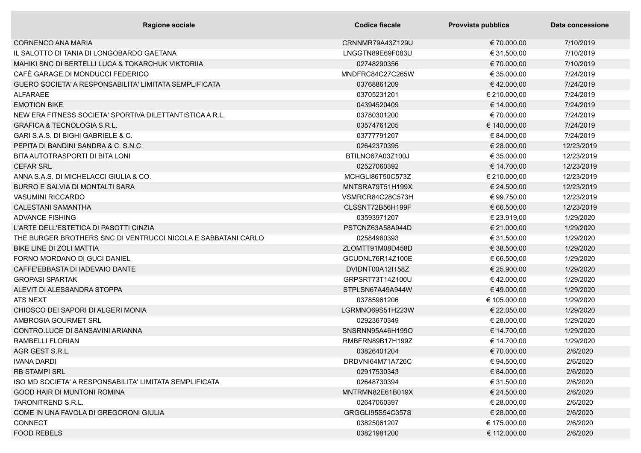| Ragione sociale                                               | <b>Codice fiscale</b> | Provvista pubblica | Data concessione |
|---------------------------------------------------------------|-----------------------|--------------------|------------------|
| <b>CORNENCO ANA MARIA</b>                                     | CRNNMR79A43Z129U      | € 70.000,00        | 7/10/2019        |
| IL SALOTTO DI TANIA DI LONGOBARDO GAETANA                     | LNGGTN89E69F083U      | € 31.500,00        | 7/10/2019        |
| MAHIKI SNC DI BERTELLI LUCA & TOKARCHUK VIKTORIIA             | 02748290356           | € 70.000,00        | 7/10/2019        |
| CAFÈ GARAGE DI MONDUCCI FEDERICO                              | MNDFRC84C27C265W      | € 35.000,00        | 7/24/2019        |
| GUERO SOCIETA' A RESPONSABILITA' LIMITATA SEMPLIFICATA        | 03768861209           | €42.000,00         | 7/24/2019        |
| <b>ALFARAEE</b>                                               | 03705231201           | € 210.000,00       | 7/24/2019        |
| <b>EMOTION BIKE</b>                                           | 04394520409           | € 14.000,00        | 7/24/2019        |
| NEW ERA FITNESS SOCIETA' SPORTIVA DILETTANTISTICA A R.L.      | 03780301200           | € 70.000,00        | 7/24/2019        |
| <b>GRAFICA &amp; TECNOLOGIA S.R.L.</b>                        | 03574761205           | € 140.000,00       | 7/24/2019        |
| GARI S.A.S. DI BIGHI GABRIELE & C.                            | 03777791207           | € 84.000,00        | 7/24/2019        |
| PEPITA DI BANDINI SANDRA & C. S.N.C.                          | 02642370395           | € 28.000,00        | 12/23/2019       |
| BITA AUTOTRASPORTI DI BITA LONI                               | BTILNO67A03Z100J      | € 35.000,00        | 12/23/2019       |
| <b>CEFAR SRL</b>                                              | 02527060392           | € 14.700,00        | 12/23/2019       |
| ANNA S.A.S. DI MICHELACCI GIULIA & CO.                        | MCHGLI86T50C573Z      | € 210.000,00       | 12/23/2019       |
| BURRO E SALVIA DI MONTALTI SARA                               | MNTSRA79T51H199X      | € 24.500,00        | 12/23/2019       |
| <b>VASUMINI RICCARDO</b>                                      | VSMRCR84C28C573H      | € 99.750,00        | 12/23/2019       |
| <b>CALESTANI SAMANTHA</b>                                     | CLSSNT72B56H199F      | € 66.500,00        | 12/23/2019       |
| <b>ADVANCE FISHING</b>                                        | 03593971207           | € 23.919,00        | 1/29/2020        |
| L'ARTE DELL'ESTETICA DI PASOTTI CINZIA                        | PSTCNZ63A58A944D      | € 21.000,00        | 1/29/2020        |
| THE BURGER BROTHERS SNC DI VENTRUCCI NICOLA E SABBATANI CARLO | 02584960393           | € 31.500,00        | 1/29/2020        |
| <b>BIKE LINE DI ZOLI MATTIA</b>                               | ZLOMTT91M08D458D      | € 38.500,00        | 1/29/2020        |
| FORNO MORDANO DI GUCI DANIEL                                  | GCUDNL76R14Z100E      | € 66.500,00        | 1/29/2020        |
| CAFFE'EBBASTA DI IADEVAIO DANTE                               | DVIDNT00A12I158Z      | € 25.900,00        | 1/29/2020        |
| <b>GROPASI SPARTAK</b>                                        | GRPSRT73T14Z100U      | €42.000,00         | 1/29/2020        |
| ALEVIT DI ALESSANDRA STOPPA                                   | STPLSN67A49A944W      | € 49.000,00        | 1/29/2020        |
| <b>ATS NEXT</b>                                               | 03785961206           | € 105.000,00       | 1/29/2020        |
| CHIOSCO DEI SAPORI DI ALGERI MONIA                            | LGRMNO69S51H223W      | € 22.050,00        | 1/29/2020        |
| AMBROSIA GOURMET SRL                                          | 02923670349           | € 28.000,00        | 1/29/2020        |
| CONTRO.LUCE DI SANSAVINI ARIANNA                              | SNSRNN95A46H199O      | € 14.700,00        | 1/29/2020        |
| RAMBELLI FLORIAN                                              | RMBFRN89B17H199Z      | € 14.700,00        | 1/29/2020        |
| AGR GEST S.R.L.                                               | 03826401204           | € 70.000,00        | 2/6/2020         |
| <b>IVANA DARDI</b>                                            | DRDVNI64M71A726C      | € 94.500,00        | 2/6/2020         |
| <b>RB STAMPI SRL</b>                                          | 02917530343           | € 84.000,00        | 2/6/2020         |
| ISO MD SOCIETA' A RESPONSABILITA' LIMITATA SEMPLIFICATA       | 02648730394           | € 31.500,00        | 2/6/2020         |
| GOOD HAIR DI MUNTONI ROMINA                                   | MNTRMN82E61B019X      | € 24.500,00        | 2/6/2020         |
| TARONITREND S.R.L.                                            | 02647060397           | € 28.000,00        | 2/6/2020         |
| COME IN UNA FAVOLA DI GREGORONI GIULIA                        | GRGGLI95S54C357S      | € 28.000,00        | 2/6/2020         |
| <b>CONNECT</b>                                                | 03825061207           | € 175.000,00       | 2/6/2020         |
| <b>FOOD REBELS</b>                                            | 03821981200           | € 112.000,00       | 2/6/2020         |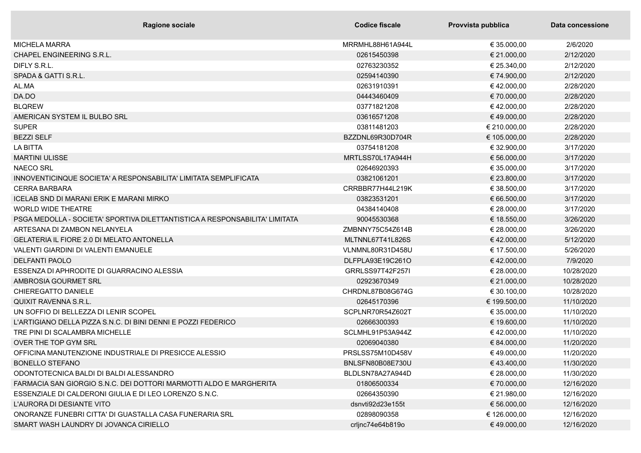| <b>Ragione sociale</b>                                                      | <b>Codice fiscale</b> | Provvista pubblica | Data concessione |
|-----------------------------------------------------------------------------|-----------------------|--------------------|------------------|
| <b>MICHELA MARRA</b>                                                        | MRRMHL88H61A944L      | € 35.000,00        | 2/6/2020         |
| <b>CHAPEL ENGINEERING S.R.L.</b>                                            | 02615450398           | € 21.000,00        | 2/12/2020        |
| DIFLY S.R.L.                                                                | 02763230352           | € 25.340,00        | 2/12/2020        |
| SPADA & GATTI S.R.L.                                                        | 02594140390           | € 74.900,00        | 2/12/2020        |
| AL.MA                                                                       | 02631910391           | €42.000,00         | 2/28/2020        |
| DA.DO                                                                       | 04443460409           | € 70.000,00        | 2/28/2020        |
| <b>BLQREW</b>                                                               | 03771821208           | €42.000,00         | 2/28/2020        |
| AMERICAN SYSTEM IL BULBO SRL                                                | 03616571208           | €49.000,00         | 2/28/2020        |
| <b>SUPER</b>                                                                | 03811481203           | € 210.000,00       | 2/28/2020        |
| <b>BEZZI SELF</b>                                                           | BZZDNL69R30D704R      | € 105.000,00       | 2/28/2020        |
| LA BITTA                                                                    | 03754181208           | € 32.900,00        | 3/17/2020        |
| <b>MARTINI ULISSE</b>                                                       | MRTLSS70L17A944H      | € 56.000,00        | 3/17/2020        |
| <b>NAECO SRL</b>                                                            | 02646920393           | € 35.000,00        | 3/17/2020        |
| INNOVENTICINQUE SOCIETA' A RESPONSABILITA' LIMITATA SEMPLIFICATA            | 03821061201           | € 23.800,00        | 3/17/2020        |
| <b>CERRA BARBARA</b>                                                        | CRRBBR77H44L219K      | € 38.500,00        | 3/17/2020        |
| ICELAB SND DI MARANI ERIK E MARANI MIRKO                                    | 03823531201           | € 66.500,00        | 3/17/2020        |
| <b>WORLD WIDE THEATRE</b>                                                   | 04384140408           | € 28.000,00        | 3/17/2020        |
| PSGA MEDOLLA - SOCIETA' SPORTIVA DILETTANTISTICA A RESPONSABILITA' LIMITATA | 90045530368           | € 18.550,00        | 3/26/2020        |
| ARTESANA DI ZAMBON NELANYELA                                                | ZMBNNY75C54Z614B      | € 28.000,00        | 3/26/2020        |
| <b>GELATERIA IL FIORE 2.0 DI MELATO ANTONELLA</b>                           | MLTNNL67T41L826S      | €42.000,00         | 5/12/2020        |
| VALENTI GIARDINI DI VALENTI EMANUELE                                        | VLNMNL80R31D458U      | € 17.500,00        | 5/26/2020        |
| <b>DELFANTI PAOLO</b>                                                       | DLFPLA93E19C261O      | €42.000,00         | 7/9/2020         |
| ESSENZA DI APHRODITE DI GUARRACINO ALESSIA                                  | GRRLSS97T42F257I      | € 28.000,00        | 10/28/2020       |
| AMBROSIA GOURMET SRL                                                        | 02923670349           | € 21.000,00        | 10/28/2020       |
| CHIEREGATTO DANIELE                                                         | CHRDNL87B08G674G      | € 30.100,00        | 10/28/2020       |
| <b>QUIXIT RAVENNA S.R.L.</b>                                                | 02645170396           | € 199.500,00       | 11/10/2020       |
| UN SOFFIO DI BELLEZZA DI LENIR SCOPEL                                       | SCPLNR70R54Z602T      | € 35.000,00        | 11/10/2020       |
| L'ARTIGIANO DELLA PIZZA S.N.C. DI BINI DENNI E POZZI FEDERICO               | 02666300393           | € 19.600,00        | 11/10/2020       |
| TRE PINI DI SCALAMBRA MICHELLE                                              | SCLMHL91P53A944Z      | € 42.000,00        | 11/10/2020       |
| OVER THE TOP GYM SRL                                                        | 02069040380           | € 84.000,00        | 11/20/2020       |
| OFFICINA MANUTENZIONE INDUSTRIALE DI PRESICCE ALESSIO                       | PRSLSS75M10D458V      | €49.000,00         | 11/20/2020       |
| <b>BONELLO STEFANO</b>                                                      | BNLSFN80B08E730U      | €43.400,00         | 11/30/2020       |
| ODONTOTECNICA BALDI DI BALDI ALESSANDRO                                     | BLDLSN78A27A944D      | € 28.000,00        | 11/30/2020       |
| FARMACIA SAN GIORGIO S.N.C. DEI DOTTORI MARMOTTI ALDO E MARGHERITA          | 01806500334           | € 70.000,00        | 12/16/2020       |
| ESSENZIALE DI CALDERONI GIULIA E DI LEO LORENZO S.N.C.                      | 02664350390           | € 21.980,00        | 12/16/2020       |
| L'AURORA DI DESIANTE VITO                                                   | dsnyti92d23e155t      | € 56.000,00        | 12/16/2020       |
| ONORANZE FUNEBRI CITTA' DI GUASTALLA CASA FUNERARIA SRL                     | 02898090358           | € 126.000,00       | 12/16/2020       |
| SMART WASH LAUNDRY DI JOVANCA CIRIELLO                                      | crljnc74e64b819o      | €49.000,00         | 12/16/2020       |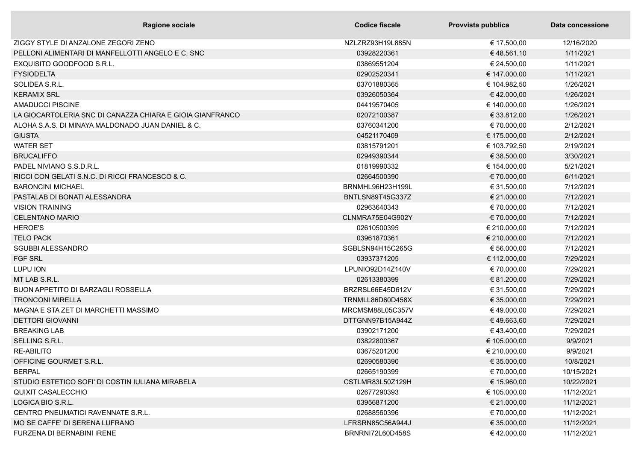| <b>Ragione sociale</b>                                    | Codice fiscale   | Provvista pubblica | Data concessione |
|-----------------------------------------------------------|------------------|--------------------|------------------|
| ZIGGY STYLE DI ANZALONE ZEGORI ZENO                       | NZLZRZ93H19L885N | € 17.500,00        | 12/16/2020       |
| PELLONI ALIMENTARI DI MANFELLOTTI ANGELO E C. SNC         | 03928220361      | €48.561,10         | 1/11/2021        |
| EXQUISITO GOODFOOD S.R.L.                                 | 03869551204      | € 24.500,00        | 1/11/2021        |
| <b>FYSIODELTA</b>                                         | 02902520341      | € 147.000,00       | 1/11/2021        |
| SOLIDEA S.R.L.                                            | 03701880365      | € 104.982,50       | 1/26/2021        |
| <b>KERAMIX SRL</b>                                        | 03926050364      | €42.000,00         | 1/26/2021        |
| <b>AMADUCCI PISCINE</b>                                   | 04419570405      | € 140.000,00       | 1/26/2021        |
| LA GIOCARTOLERIA SNC DI CANAZZA CHIARA E GIOIA GIANFRANCO | 02072100387      | € 33.812,00        | 1/26/2021        |
| ALOHA S.A.S. DI MINAYA MALDONADO JUAN DANIEL & C.         | 03760341200      | € 70.000,00        | 2/12/2021        |
| <b>GIUSTA</b>                                             | 04521170409      | € 175.000,00       | 2/12/2021        |
| <b>WATER SET</b>                                          | 03815791201      | € 103.792,50       | 2/19/2021        |
| <b>BRUCALIFFO</b>                                         | 02949390344      | € 38.500,00        | 3/30/2021        |
| PADEL NIVIANO S.S.D.R.L.                                  | 01819990332      | € 154.000,00       | 5/21/2021        |
| RICCI CON GELATI S.N.C. DI RICCI FRANCESCO & C.           | 02664500390      | € 70.000,00        | 6/11/2021        |
| <b>BARONCINI MICHAEL</b>                                  | BRNMHL96H23H199L | € 31.500,00        | 7/12/2021        |
| PASTALAB DI BONATI ALESSANDRA                             | BNTLSN89T45G337Z | € 21.000,00        | 7/12/2021        |
| <b>VISION TRAINING</b>                                    | 02963640343      | € 70.000,00        | 7/12/2021        |
| <b>CELENTANO MARIO</b>                                    | CLNMRA75E04G902Y | € 70.000,00        | 7/12/2021        |
| <b>HEROE'S</b>                                            | 02610500395      | € 210.000,00       | 7/12/2021        |
| <b>TELO PACK</b>                                          | 03961870361      | € 210.000,00       | 7/12/2021        |
| <b>SGUBBI ALESSANDRO</b>                                  | SGBLSN94H15C265G | € 56.000,00        | 7/12/2021        |
| <b>FGF SRL</b>                                            | 03937371205      | € 112.000,00       | 7/29/2021        |
| LUPU ION                                                  | LPUNIO92D14Z140V | € 70.000,00        | 7/29/2021        |
| MT LAB S.R.L.                                             | 02613380399      | € 81.200,00        | 7/29/2021        |
| <b>BUON APPETITO DI BARZAGLI ROSSELLA</b>                 | BRZRSL66E45D612V | € 31.500,00        | 7/29/2021        |
| <b>TRONCONI MIRELLA</b>                                   | TRNMLL86D60D458X | € 35.000,00        | 7/29/2021        |
| MAGNA E STA ZET DI MARCHETTI MASSIMO                      | MRCMSM88L05C357V | €49.000,00         | 7/29/2021        |
| <b>DETTORI GIOVANNI</b>                                   | DTTGNN97B15A944Z | €49.663,60         | 7/29/2021        |
| <b>BREAKING LAB</b>                                       | 03902171200      | €43.400,00         | 7/29/2021        |
| SELLING S.R.L.                                            | 03822800367      | € 105.000,00       | 9/9/2021         |
| <b>RE-ABILITO</b>                                         | 03675201200      | € 210.000,00       | 9/9/2021         |
| OFFICINE GOURMET S.R.L.                                   | 02690580390      | € 35.000,00        | 10/8/2021        |
| <b>BERPAL</b>                                             | 02665190399      | € 70.000,00        | 10/15/2021       |
| STUDIO ESTETICO SOFI' DI COSTIN IULIANA MIRABELA          | CSTLMR83L50Z129H | € 15.960,00        | 10/22/2021       |
| QUIXIT CASALECCHIO                                        | 02677290393      | € 105.000,00       | 11/12/2021       |
| LOGICA BIO S.R.L.                                         | 03956871200      | € 21.000,00        | 11/12/2021       |
| CENTRO PNEUMATICI RAVENNATE S.R.L.                        | 02688560396      | € 70.000,00        | 11/12/2021       |
| MO SE CAFFE' DI SERENA LUFRANO                            | LFRSRN85C56A944J | € 35.000,00        | 11/12/2021       |
| FURZENA DI BERNABINI IRENE                                | BRNRNI72L60D458S | €42.000,00         | 11/12/2021       |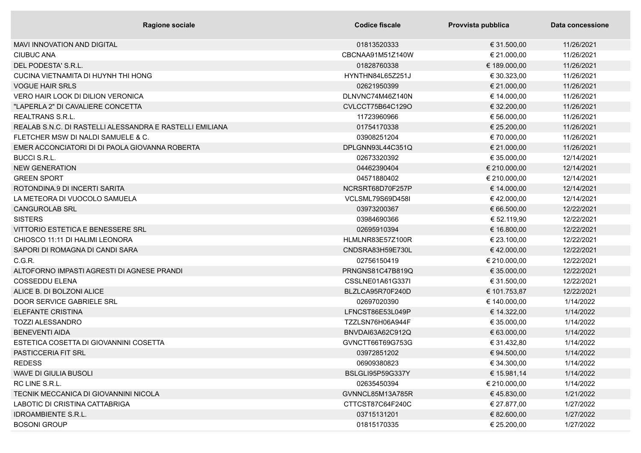| <b>Ragione sociale</b>                                   | Codice fiscale   | Provvista pubblica | Data concessione |
|----------------------------------------------------------|------------------|--------------------|------------------|
| <b>MAVI INNOVATION AND DIGITAL</b>                       | 01813520333      | € 31.500,00        | 11/26/2021       |
| <b>CIUBUC ANA</b>                                        | CBCNAA91M51Z140W | € 21.000,00        | 11/26/2021       |
| DEL PODESTA' S.R.L.                                      | 01828760338      | € 189.000,00       | 11/26/2021       |
| CUCINA VIETNAMITA DI HUYNH THI HONG                      | HYNTHN84L65Z251J | € 30.323,00        | 11/26/2021       |
| <b>VOGUE HAIR SRLS</b>                                   | 02621950399      | € 21.000,00        | 11/26/2021       |
| <b>VERO HAIR LOOK DI DILION VERONICA</b>                 | DLNVNC74M46Z140N | € 14.000,00        | 11/26/2021       |
| "LAPERLA 2" DI CAVALIERE CONCETTA                        | CVLCCT75B64C129O | € 32.200,00        | 11/26/2021       |
| <b>REALTRANS S.R.L.</b>                                  | 11723960966      | € 56.000,00        | 11/26/2021       |
| REALAB S.N.C. DI RASTELLI ALESSANDRA E RASTELLI EMILIANA | 01754170338      | € 25.200,00        | 11/26/2021       |
| FLETCHER MSW DI NALDI SAMUELE & C.                       | 03908251204      | € 70.000,00        | 11/26/2021       |
| EMER ACCONCIATORI DI DI PAOLA GIOVANNA ROBERTA           | DPLGNN93L44C351Q | € 21.000,00        | 11/26/2021       |
| <b>BUCCI S.R.L.</b>                                      | 02673320392      | € 35.000,00        | 12/14/2021       |
| <b>NEW GENERATION</b>                                    | 04462390404      | € 210.000,00       | 12/14/2021       |
| <b>GREEN SPORT</b>                                       | 04571880402      | € 210.000,00       | 12/14/2021       |
| ROTONDINA.9 DI INCERTI SARITA                            | NCRSRT68D70F257P | € 14.000,00        | 12/14/2021       |
| LA METEORA DI VUOCOLO SAMUELA                            | VCLSML79S69D458I | €42.000,00         | 12/14/2021       |
| <b>CANGUROLAB SRL</b>                                    | 03973200367      | € 66.500,00        | 12/22/2021       |
| <b>SISTERS</b>                                           | 03984690366      | € 52.119,90        | 12/22/2021       |
| VITTORIO ESTETICA E BENESSERE SRL                        | 02695910394      | € 16.800,00        | 12/22/2021       |
| CHIOSCO 11:11 DI HALIMI LEONORA                          | HLMLNR83E57Z100R | € 23.100,00        | 12/22/2021       |
| SAPORI DI ROMAGNA DI CANDI SARA                          | CNDSRA83H59E730L | €42.000,00         | 12/22/2021       |
| C.G.R.                                                   | 02756150419      | € 210.000,00       | 12/22/2021       |
| ALTOFORNO IMPASTI AGRESTI DI AGNESE PRANDI               | PRNGNS81C47B819Q | € 35.000,00        | 12/22/2021       |
| <b>COSSEDDU ELENA</b>                                    | CSSLNE01A61G337I | € 31.500,00        | 12/22/2021       |
| ALICE B. DI BOLZONI ALICE                                | BLZLCA95R70F240D | € 101.753,87       | 12/22/2021       |
| DOOR SERVICE GABRIELE SRL                                | 02697020390      | € 140.000,00       | 1/14/2022        |
| <b>ELEFANTE CRISTINA</b>                                 | LFNCST86E53L049P | € 14.322,00        | 1/14/2022        |
| <b>TOZZI ALESSANDRO</b>                                  | TZZLSN76H06A944F | € 35.000,00        | 1/14/2022        |
| <b>BENEVENTI AIDA</b>                                    | BNVDAI63A62C912Q | € 63.000,00        | 1/14/2022        |
| ESTETICA COSETTA DI GIOVANNINI COSETTA                   | GVNCTT66T69G753G | € 31.432,80        | 1/14/2022        |
| <b>PASTICCERIA FIT SRL</b>                               | 03972851202      | € 94.500,00        | 1/14/2022        |
| <b>REDESS</b>                                            | 06909380823      | € 34.300,00        | 1/14/2022        |
| WAVE DI GIULIA BUSOLI                                    | BSLGLI95P59G337Y | € 15.981,14        | 1/14/2022        |
| RC LINE S.R.L.                                           | 02635450394      | € 210.000,00       | 1/14/2022        |
| TECNIK MECCANICA DI GIOVANNINI NICOLA                    | GVNNCL85M13A785R | € 45.830,00        | 1/21/2022        |
| LABOTIC DI CRISTINA CATTABRIGA                           | CTTCST87C64F240C | € 27.877,00        | 1/27/2022        |
| <b>IDROAMBIENTE S.R.L.</b>                               | 03715131201      | € 82.600,00        | 1/27/2022        |
| <b>BOSONI GROUP</b>                                      | 01815170335      | € 25.200,00        | 1/27/2022        |